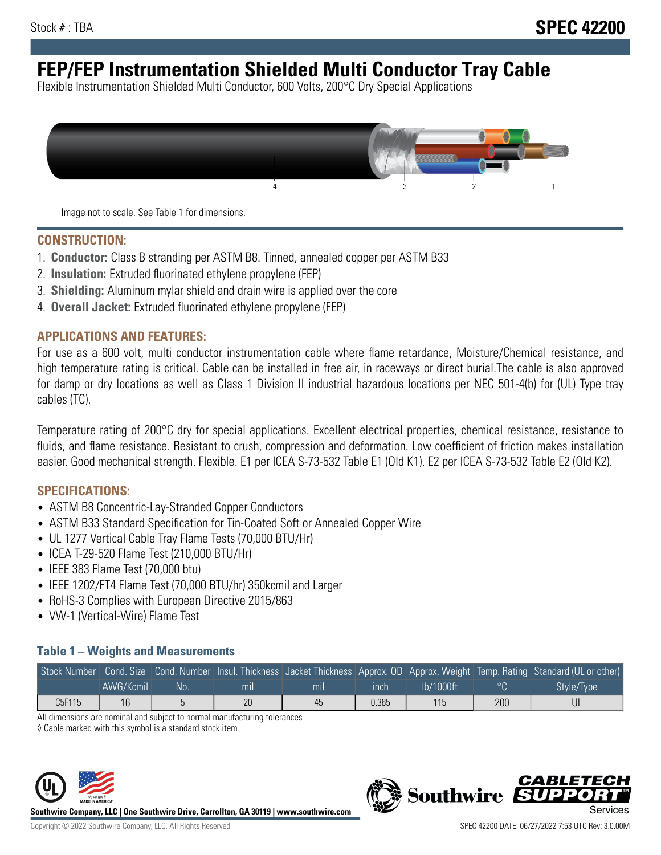# **FEP/FEP Instrumentation Shielded Multi Conductor Tray Cable**

Flexible Instrumentation Shielded Multi Conductor, 600 Volts, 200°C Dry Special Applications



Image not to scale. See Table 1 for dimensions.

#### **CONSTRUCTION:**

- 1. **Conductor:** Class B stranding per ASTM B8. Tinned, annealed copper per ASTM B33
- 2. **Insulation:** Extruded fluorinated ethylene propylene (FEP)
- 3. **Shielding:** Aluminum mylar shield and drain wire is applied over the core
- 4. **Overall Jacket:** Extruded fluorinated ethylene propylene (FEP)

#### **APPLICATIONS AND FEATURES:**

For use as a 600 volt, multi conductor instrumentation cable where flame retardance, Moisture/Chemical resistance, and high temperature rating is critical. Cable can be installed in free air, in raceways or direct burial.The cable is also approved for damp or dry locations as well as Class 1 Division II industrial hazardous locations per NEC 501-4(b) for (UL) Type tray cables (TC).

Temperature rating of 200°C dry for special applications. Excellent electrical properties, chemical resistance, resistance to fluids, and flame resistance. Resistant to crush, compression and deformation. Low coefficient of friction makes installation easier. Good mechanical strength. Flexible. E1 per ICEA S-73-532 Table E1 (Old K1). E2 per ICEA S-73-532 Table E2 (Old K2).

#### **SPECIFICATIONS:**

- ASTM B8 Concentric-Lay-Stranded Copper Conductors
- ASTM B33 Standard Specification for Tin-Coated Soft or Annealed Copper Wire
- UL 1277 Vertical Cable Tray Flame Tests (70,000 BTU/Hr)
- ICEA T-29-520 Flame Test (210,000 BTU/Hr)
- IEEE 383 Flame Test (70,000 btu)
- IEEE 1202/FT4 Flame Test (70,000 BTU/hr) 350kcmil and Larger
- RoHS-3 Complies with European Directive 2015/863
- VW-1 (Vertical-Wire) Flame Test

### **Table 1 – Weights and Measurements**

|        |           |     |     |     |       |           |     | Stock Number Cond. Size Cond. Number Insul. Thickness Jacket Thickness Approx. OD Approx. Weight Temp. Rating Standard (UL or other) |
|--------|-----------|-----|-----|-----|-------|-----------|-----|--------------------------------------------------------------------------------------------------------------------------------------|
|        | AWG/Kcmil | :No | mil | mıl | inch  | Ib/1000ft |     | Style/Type                                                                                                                           |
| C5F115 | 16        |     | 20  | 45  | 0.365 | 115       | 200 |                                                                                                                                      |

All dimensions are nominal and subject to normal manufacturing tolerances

◊ Cable marked with this symbol is a standard stock item



**Southwire Company, LLC | One Southwire Drive, Carrollton, GA 30119 | www.southwire.com**